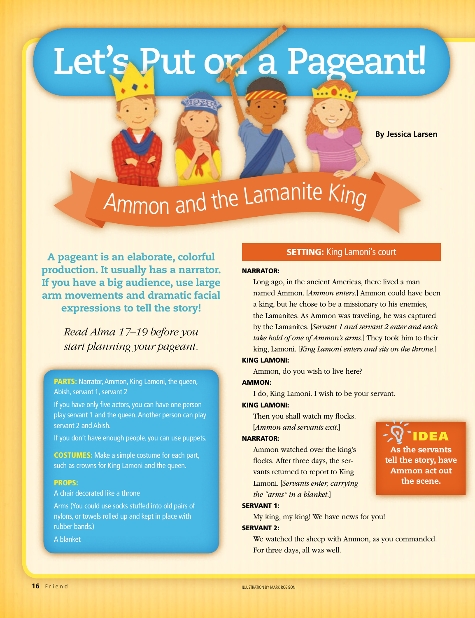## **Let's Put on a Pageant!**

**BESTER** 

**By Jessica Larsen**

IDEA

As the servants tell the story, have Ammon act out the scene.

# Ammon and the Lamanite King

A pageant is an elaborate, colorful production. It usually has a narrator. If you have a big audience, use large arm movements and dramatic facial expressions to tell the story!

> *Read Alma 17–19 before you start planning your pageant.*

PARTS: Narrator, Ammon, King Lamoni, the queen, Abish, servant 1, servant 2

If you have only five actors, you can have one person play servant 1 and the queen. Another person can play servant 2 and Abish.

If you don't have enough people, you can use puppets.

COSTUMES: Make a simple costume for each part, such as crowns for King Lamoni and the queen.

#### PROPS:

A chair decorated like a throne

Arms (You could use socks stuffed into old pairs of nylons, or towels rolled up and kept in place with rubber bands.)

A blanket

#### **SETTING: King Lamoni's court**

#### NARRATOR:

Long ago, in the ancient Americas, there lived a man named Ammon. [*Ammon enters.*] Ammon could have been a king, but he chose to be a missionary to his enemies, the Lamanites. As Ammon was traveling, he was captured by the Lamanites. [*Servant 1 and servant 2 enter and each take hold of one of Ammon's arms.*] They took him to their king, Lamoni. [*King Lamoni enters and sits on the throne.*]

#### KING LAMONI:

Ammon, do you wish to live here?

#### AMMON:

I do, King Lamoni. I wish to be your servant.

#### KING LAMONI:

Then you shall watch my flocks. [*Ammon and servants exit.*]

#### NARRATOR:

Ammon watched over the king's flocks. After three days, the servants returned to report to King Lamoni. [*Servants enter, carrying the "arms" in a blanket.*]

#### SERVANT 1:

My king, my king! We have news for you!

#### SERVANT 2:

We watched the sheep with Ammon, as you commanded. For three days, all was well.

**16** Friend

ILLUSTRATION BY MARK ROBISON